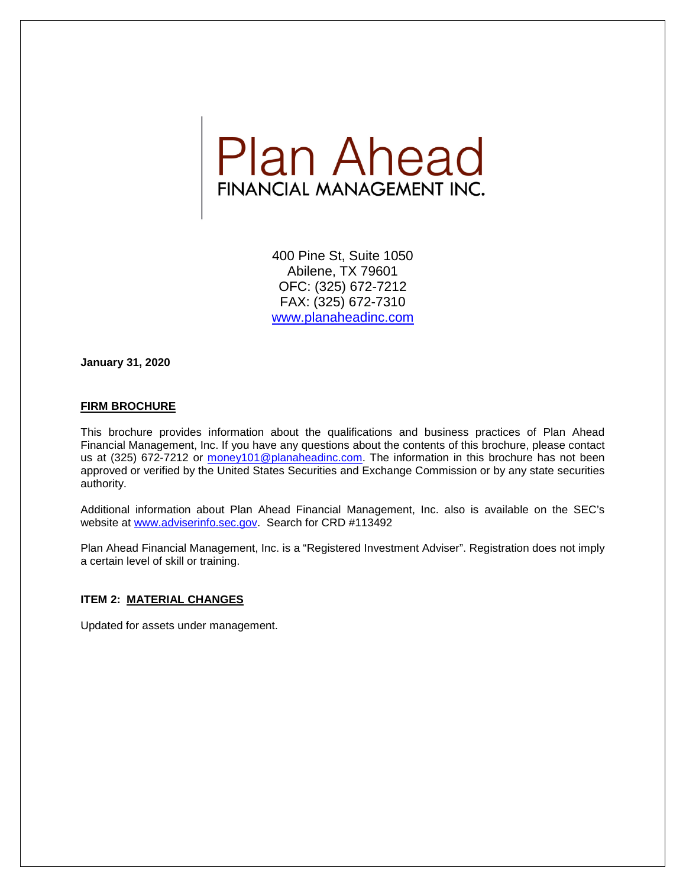

400 Pine St, Suite 1050 Abilene, TX 79601 OFC: (325) 672-7212 FAX: (325) 672-7310 [www.planaheadinc.com](http://www.planaheadinc.com/)

**January 31, 2020**

## **FIRM BROCHURE**

This brochure provides information about the qualifications and business practices of Plan Ahead Financial Management, Inc. If you have any questions about the contents of this brochure, please contact us at (325) 672-7212 or [money101@planaheadinc.com.](mailto:money101@planaheadinc.com) The information in this brochure has not been approved or verified by the United States Securities and Exchange Commission or by any state securities authority.

Additional information about Plan Ahead Financial Management, Inc. also is available on the SEC's website at [www.adviserinfo.sec.gov.](http://www.adviserinfo.sec.gov/) Search for CRD #113492

Plan Ahead Financial Management, Inc. is a "Registered Investment Adviser". Registration does not imply a certain level of skill or training.

#### **ITEM 2: MATERIAL CHANGES**

Updated for assets under management.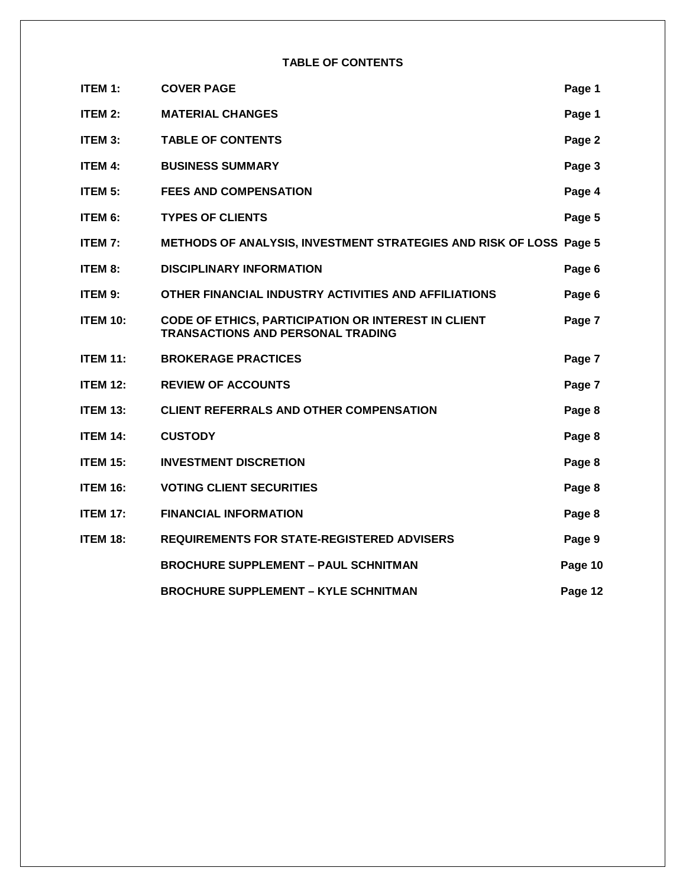**TABLE OF CONTENTS**

| ITEM 1:         | <b>COVER PAGE</b>                                                                               | Page 1  |
|-----------------|-------------------------------------------------------------------------------------------------|---------|
| ITEM 2:         | <b>MATERIAL CHANGES</b>                                                                         | Page 1  |
| ITEM 3:         | <b>TABLE OF CONTENTS</b>                                                                        | Page 2  |
| <b>ITEM 4:</b>  | <b>BUSINESS SUMMARY</b>                                                                         | Page 3  |
| ITEM 5:         | <b>FEES AND COMPENSATION</b>                                                                    | Page 4  |
| ITEM 6:         | <b>TYPES OF CLIENTS</b>                                                                         | Page 5  |
| <b>ITEM 7:</b>  | METHODS OF ANALYSIS, INVESTMENT STRATEGIES AND RISK OF LOSS Page 5                              |         |
| ITEM 8:         | <b>DISCIPLINARY INFORMATION</b>                                                                 | Page 6  |
| ITEM 9:         | OTHER FINANCIAL INDUSTRY ACTIVITIES AND AFFILIATIONS                                            | Page 6  |
| <b>ITEM 10:</b> | CODE OF ETHICS, PARTICIPATION OR INTEREST IN CLIENT<br><b>TRANSACTIONS AND PERSONAL TRADING</b> | Page 7  |
| <b>ITEM 11:</b> | <b>BROKERAGE PRACTICES</b>                                                                      | Page 7  |
| <b>ITEM 12:</b> | <b>REVIEW OF ACCOUNTS</b>                                                                       | Page 7  |
| <b>ITEM 13:</b> | <b>CLIENT REFERRALS AND OTHER COMPENSATION</b>                                                  | Page 8  |
| <b>ITEM 14:</b> | <b>CUSTODY</b>                                                                                  | Page 8  |
| <b>ITEM 15:</b> | <b>INVESTMENT DISCRETION</b>                                                                    | Page 8  |
| <b>ITEM 16:</b> | <b>VOTING CLIENT SECURITIES</b>                                                                 | Page 8  |
| <b>ITEM 17:</b> | <b>FINANCIAL INFORMATION</b>                                                                    | Page 8  |
| <b>ITEM 18:</b> | <b>REQUIREMENTS FOR STATE-REGISTERED ADVISERS</b>                                               | Page 9  |
|                 | <b>BROCHURE SUPPLEMENT - PAUL SCHNITMAN</b>                                                     | Page 10 |
|                 | <b>BROCHURE SUPPLEMENT - KYLE SCHNITMAN</b>                                                     | Page 12 |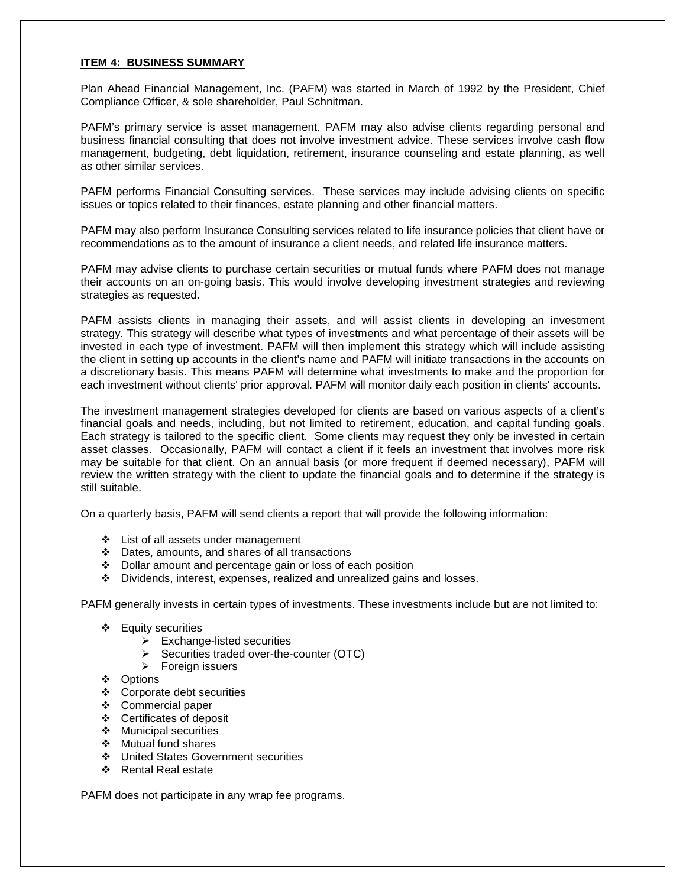## **ITEM 4: BUSINESS SUMMARY**

Plan Ahead Financial Management, Inc. (PAFM) was started in March of 1992 by the President, Chief Compliance Officer, & sole shareholder, Paul Schnitman.

PAFM's primary service is asset management. PAFM may also advise clients regarding personal and business financial consulting that does not involve investment advice. These services involve cash flow management, budgeting, debt liquidation, retirement, insurance counseling and estate planning, as well as other similar services.

PAFM performs Financial Consulting services. These services may include advising clients on specific issues or topics related to their finances, estate planning and other financial matters.

PAFM may also perform Insurance Consulting services related to life insurance policies that client have or recommendations as to the amount of insurance a client needs, and related life insurance matters.

PAFM may advise clients to purchase certain securities or mutual funds where PAFM does not manage their accounts on an on-going basis. This would involve developing investment strategies and reviewing strategies as requested.

PAFM assists clients in managing their assets, and will assist clients in developing an investment strategy. This strategy will describe what types of investments and what percentage of their assets will be invested in each type of investment. PAFM will then implement this strategy which will include assisting the client in setting up accounts in the client's name and PAFM will initiate transactions in the accounts on a discretionary basis. This means PAFM will determine what investments to make and the proportion for each investment without clients' prior approval. PAFM will monitor daily each position in clients' accounts.

The investment management strategies developed for clients are based on various aspects of a client's financial goals and needs, including, but not limited to retirement, education, and capital funding goals. Each strategy is tailored to the specific client. Some clients may request they only be invested in certain asset classes. Occasionally, PAFM will contact a client if it feels an investment that involves more risk may be suitable for that client. On an annual basis (or more frequent if deemed necessary), PAFM will review the written strategy with the client to update the financial goals and to determine if the strategy is still suitable.

On a quarterly basis, PAFM will send clients a report that will provide the following information:

- List of all assets under management
- Dates, amounts, and shares of all transactions
- Dollar amount and percentage gain or loss of each position
- Dividends, interest, expenses, realized and unrealized gains and losses.

PAFM generally invests in certain types of investments. These investments include but are not limited to:

- Equity securities
	- $\triangleright$  Exchange-listed securities
	- $\triangleright$  Securities traded over-the-counter (OTC)
	- $\triangleright$  Foreign issuers
- Options
- Corporate debt securities
- Commercial paper
- Certificates of deposit
- ❖ Municipal securities
- ❖ Mutual fund shares
- United States Government securities
- Rental Real estate

PAFM does not participate in any wrap fee programs.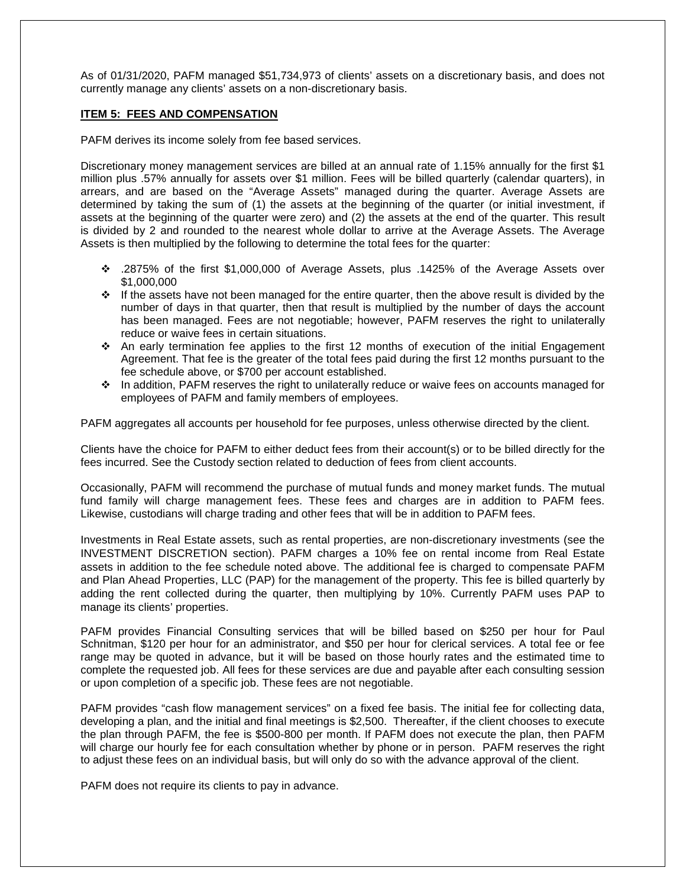As of 01/31/2020, PAFM managed \$51,734,973 of clients' assets on a discretionary basis, and does not currently manage any clients' assets on a non-discretionary basis.

#### **ITEM 5: FEES AND COMPENSATION**

PAFM derives its income solely from fee based services.

Discretionary money management services are billed at an annual rate of 1.15% annually for the first \$1 million plus .57% annually for assets over \$1 million. Fees will be billed quarterly (calendar quarters), in arrears, and are based on the "Average Assets" managed during the quarter. Average Assets are determined by taking the sum of (1) the assets at the beginning of the quarter (or initial investment, if assets at the beginning of the quarter were zero) and (2) the assets at the end of the quarter. This result is divided by 2 and rounded to the nearest whole dollar to arrive at the Average Assets. The Average Assets is then multiplied by the following to determine the total fees for the quarter:

- .2875% of the first \$1,000,000 of Average Assets, plus .1425% of the Average Assets over \$1,000,000
- \* If the assets have not been managed for the entire quarter, then the above result is divided by the number of days in that quarter, then that result is multiplied by the number of days the account has been managed. Fees are not negotiable; however, PAFM reserves the right to unilaterally reduce or waive fees in certain situations.
- $\cdot$  An early termination fee applies to the first 12 months of execution of the initial Engagement Agreement. That fee is the greater of the total fees paid during the first 12 months pursuant to the fee schedule above, or \$700 per account established.
- In addition, PAFM reserves the right to unilaterally reduce or waive fees on accounts managed for employees of PAFM and family members of employees.

PAFM aggregates all accounts per household for fee purposes, unless otherwise directed by the client.

Clients have the choice for PAFM to either deduct fees from their account(s) or to be billed directly for the fees incurred. See the Custody section related to deduction of fees from client accounts.

Occasionally, PAFM will recommend the purchase of mutual funds and money market funds. The mutual fund family will charge management fees. These fees and charges are in addition to PAFM fees. Likewise, custodians will charge trading and other fees that will be in addition to PAFM fees.

Investments in Real Estate assets, such as rental properties, are non-discretionary investments (see the INVESTMENT DISCRETION section). PAFM charges a 10% fee on rental income from Real Estate assets in addition to the fee schedule noted above. The additional fee is charged to compensate PAFM and Plan Ahead Properties, LLC (PAP) for the management of the property. This fee is billed quarterly by adding the rent collected during the quarter, then multiplying by 10%. Currently PAFM uses PAP to manage its clients' properties.

PAFM provides Financial Consulting services that will be billed based on \$250 per hour for Paul Schnitman, \$120 per hour for an administrator, and \$50 per hour for clerical services. A total fee or fee range may be quoted in advance, but it will be based on those hourly rates and the estimated time to complete the requested job. All fees for these services are due and payable after each consulting session or upon completion of a specific job. These fees are not negotiable.

PAFM provides "cash flow management services" on a fixed fee basis. The initial fee for collecting data, developing a plan, and the initial and final meetings is \$2,500. Thereafter, if the client chooses to execute the plan through PAFM, the fee is \$500-800 per month. If PAFM does not execute the plan, then PAFM will charge our hourly fee for each consultation whether by phone or in person. PAFM reserves the right to adjust these fees on an individual basis, but will only do so with the advance approval of the client.

PAFM does not require its clients to pay in advance.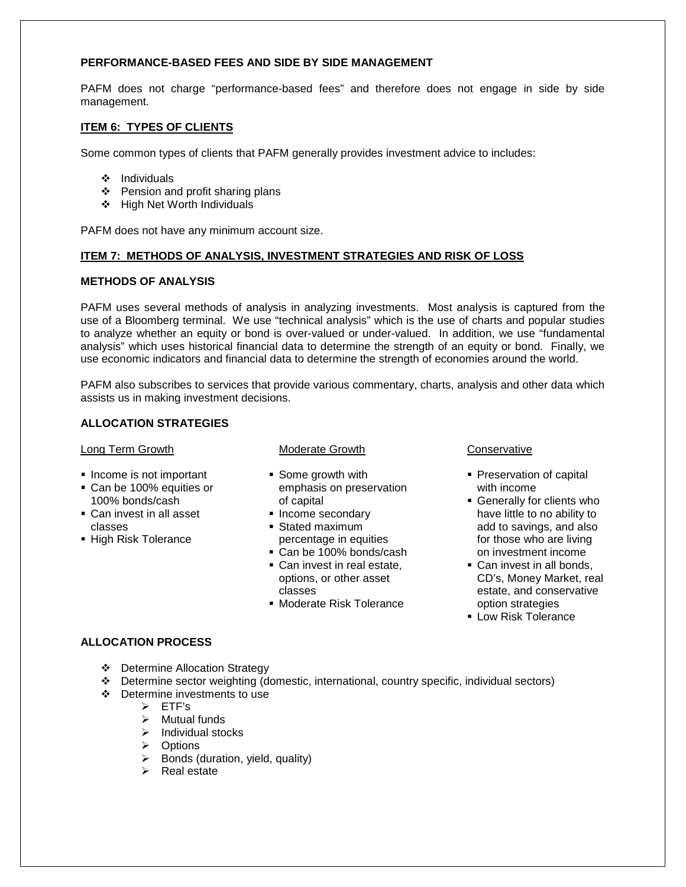# **PERFORMANCE-BASED FEES AND SIDE BY SIDE MANAGEMENT**

PAFM does not charge "performance-based fees" and therefore does not engage in side by side management.

# **ITEM 6: TYPES OF CLIENTS**

Some common types of clients that PAFM generally provides investment advice to includes:

- $\div$  Individuals
- $\div$  Pension and profit sharing plans
- ❖ High Net Worth Individuals

PAFM does not have any minimum account size.

## **ITEM 7: METHODS OF ANALYSIS, INVESTMENT STRATEGIES AND RISK OF LOSS**

## **METHODS OF ANALYSIS**

PAFM uses several methods of analysis in analyzing investments. Most analysis is captured from the use of a Bloomberg terminal. We use "technical analysis" which is the use of charts and popular studies to analyze whether an equity or bond is over-valued or under-valued. In addition, we use "fundamental analysis" which uses historical financial data to determine the strength of an equity or bond. Finally, we use economic indicators and financial data to determine the strength of economies around the world.

PAFM also subscribes to services that provide various commentary, charts, analysis and other data which assists us in making investment decisions.

# **ALLOCATION STRATEGIES**

#### Long Term Growth

- **Income is not important**
- Can be 100% equities or 100% bonds/cash
- Can invest in all asset classes
- **High Risk Tolerance**

## Moderate Growth

- Some growth with emphasis on preservation of capital
- **Income secondary** Stated maximum
- percentage in equities Can be 100% bonds/cash
- Can invest in real estate, options, or other asset classes
- **Moderate Risk Tolerance**

## **Conservative**

- **Preservation of capital** with income
- Generally for clients who have little to no ability to add to savings, and also for those who are living on investment income
- Can invest in all bonds. CD's, Money Market, real estate, and conservative option strategies
- **Low Risk Tolerance**

## **ALLOCATION PROCESS**

- Determine Allocation Strategy
- Determine sector weighting (domestic, international, country specific, individual sectors)
- Determine investments to use
	- $\triangleright$  ETF's
	- $\triangleright$  Mutual funds
	- $\triangleright$  Individual stocks
	- > Options
	- $\triangleright$  Bonds (duration, yield, quality)
	- $\triangleright$  Real estate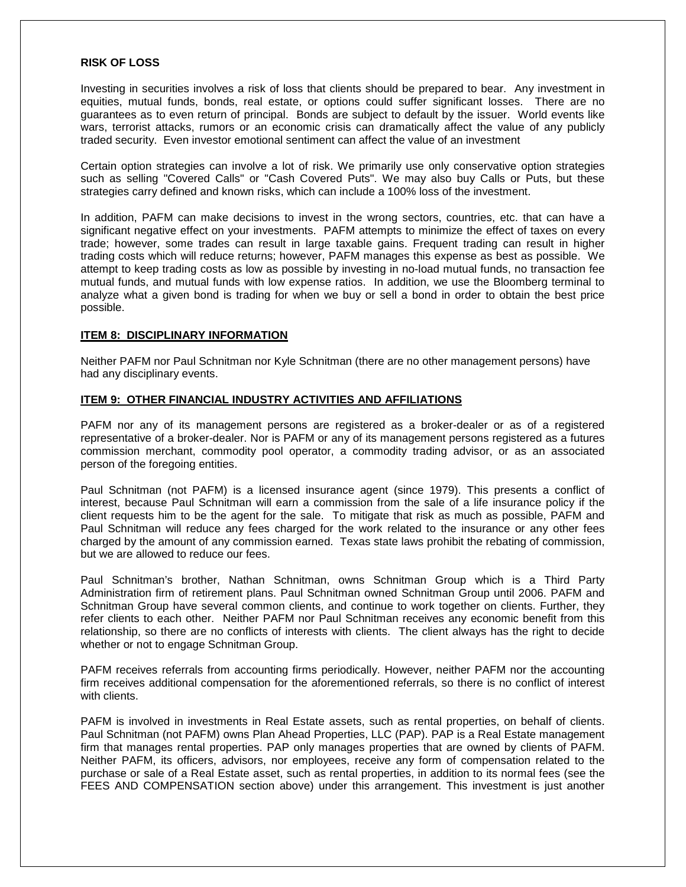#### **RISK OF LOSS**

Investing in securities involves a risk of loss that clients should be prepared to bear. Any investment in equities, mutual funds, bonds, real estate, or options could suffer significant losses. There are no guarantees as to even return of principal. Bonds are subject to default by the issuer. World events like wars, terrorist attacks, rumors or an economic crisis can dramatically affect the value of any publicly traded security. Even investor emotional sentiment can affect the value of an investment

Certain option strategies can involve a lot of risk. We primarily use only conservative option strategies such as selling "Covered Calls" or "Cash Covered Puts". We may also buy Calls or Puts, but these strategies carry defined and known risks, which can include a 100% loss of the investment.

In addition, PAFM can make decisions to invest in the wrong sectors, countries, etc. that can have a significant negative effect on your investments. PAFM attempts to minimize the effect of taxes on every trade; however, some trades can result in large taxable gains. Frequent trading can result in higher trading costs which will reduce returns; however, PAFM manages this expense as best as possible. We attempt to keep trading costs as low as possible by investing in no-load mutual funds, no transaction fee mutual funds, and mutual funds with low expense ratios. In addition, we use the Bloomberg terminal to analyze what a given bond is trading for when we buy or sell a bond in order to obtain the best price possible.

#### **ITEM 8: DISCIPLINARY INFORMATION**

Neither PAFM nor Paul Schnitman nor Kyle Schnitman (there are no other management persons) have had any disciplinary events.

#### **ITEM 9: OTHER FINANCIAL INDUSTRY ACTIVITIES AND AFFILIATIONS**

PAFM nor any of its management persons are registered as a broker-dealer or as of a registered representative of a broker-dealer. Nor is PAFM or any of its management persons registered as a futures commission merchant, commodity pool operator, a commodity trading advisor, or as an associated person of the foregoing entities.

Paul Schnitman (not PAFM) is a licensed insurance agent (since 1979). This presents a conflict of interest, because Paul Schnitman will earn a commission from the sale of a life insurance policy if the client requests him to be the agent for the sale. To mitigate that risk as much as possible, PAFM and Paul Schnitman will reduce any fees charged for the work related to the insurance or any other fees charged by the amount of any commission earned. Texas state laws prohibit the rebating of commission, but we are allowed to reduce our fees.

Paul Schnitman's brother, Nathan Schnitman, owns Schnitman Group which is a Third Party Administration firm of retirement plans. Paul Schnitman owned Schnitman Group until 2006. PAFM and Schnitman Group have several common clients, and continue to work together on clients. Further, they refer clients to each other. Neither PAFM nor Paul Schnitman receives any economic benefit from this relationship, so there are no conflicts of interests with clients. The client always has the right to decide whether or not to engage Schnitman Group.

PAFM receives referrals from accounting firms periodically. However, neither PAFM nor the accounting firm receives additional compensation for the aforementioned referrals, so there is no conflict of interest with clients.

PAFM is involved in investments in Real Estate assets, such as rental properties, on behalf of clients. Paul Schnitman (not PAFM) owns Plan Ahead Properties, LLC (PAP). PAP is a Real Estate management firm that manages rental properties. PAP only manages properties that are owned by clients of PAFM. Neither PAFM, its officers, advisors, nor employees, receive any form of compensation related to the purchase or sale of a Real Estate asset, such as rental properties, in addition to its normal fees (see the FEES AND COMPENSATION section above) under this arrangement. This investment is just another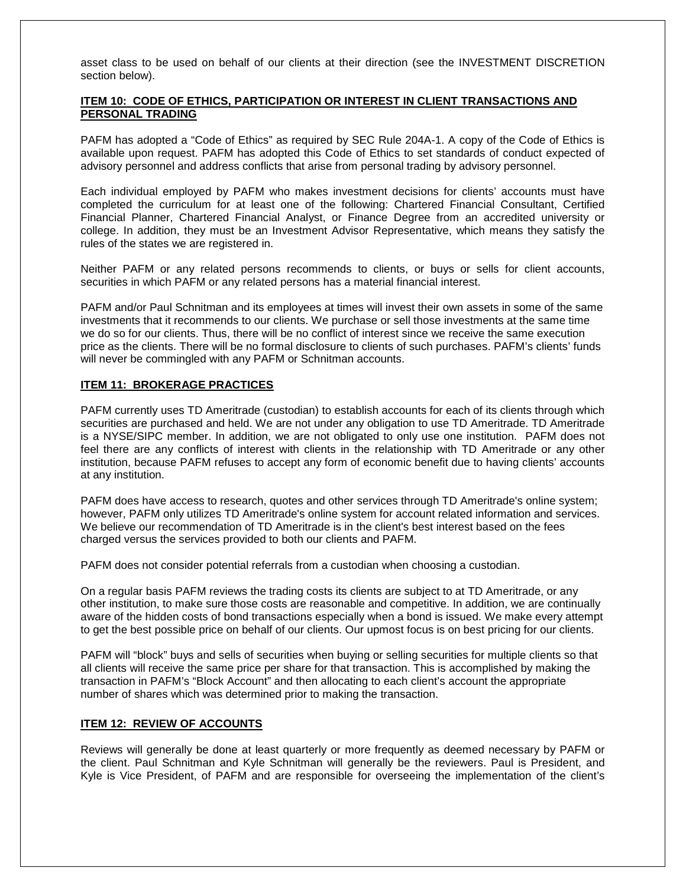asset class to be used on behalf of our clients at their direction (see the INVESTMENT DISCRETION section below).

# **ITEM 10: CODE OF ETHICS, PARTICIPATION OR INTEREST IN CLIENT TRANSACTIONS AND PERSONAL TRADING**

PAFM has adopted a "Code of Ethics" as required by SEC Rule 204A-1. A copy of the Code of Ethics is available upon request. PAFM has adopted this Code of Ethics to set standards of conduct expected of advisory personnel and address conflicts that arise from personal trading by advisory personnel.

Each individual employed by PAFM who makes investment decisions for clients' accounts must have completed the curriculum for at least one of the following: Chartered Financial Consultant, Certified Financial Planner, Chartered Financial Analyst, or Finance Degree from an accredited university or college. In addition, they must be an Investment Advisor Representative, which means they satisfy the rules of the states we are registered in.

Neither PAFM or any related persons recommends to clients, or buys or sells for client accounts, securities in which PAFM or any related persons has a material financial interest.

PAFM and/or Paul Schnitman and its employees at times will invest their own assets in some of the same investments that it recommends to our clients. We purchase or sell those investments at the same time we do so for our clients. Thus, there will be no conflict of interest since we receive the same execution price as the clients. There will be no formal disclosure to clients of such purchases. PAFM's clients' funds will never be commingled with any PAFM or Schnitman accounts.

## **ITEM 11: BROKERAGE PRACTICES**

PAFM currently uses TD Ameritrade (custodian) to establish accounts for each of its clients through which securities are purchased and held. We are not under any obligation to use TD Ameritrade. TD Ameritrade is a NYSE/SIPC member. In addition, we are not obligated to only use one institution. PAFM does not feel there are any conflicts of interest with clients in the relationship with TD Ameritrade or any other institution, because PAFM refuses to accept any form of economic benefit due to having clients' accounts at any institution.

PAFM does have access to research, quotes and other services through TD Ameritrade's online system; however, PAFM only utilizes TD Ameritrade's online system for account related information and services. We believe our recommendation of TD Ameritrade is in the client's best interest based on the fees charged versus the services provided to both our clients and PAFM.

PAFM does not consider potential referrals from a custodian when choosing a custodian.

On a regular basis PAFM reviews the trading costs its clients are subject to at TD Ameritrade, or any other institution, to make sure those costs are reasonable and competitive. In addition, we are continually aware of the hidden costs of bond transactions especially when a bond is issued. We make every attempt to get the best possible price on behalf of our clients. Our upmost focus is on best pricing for our clients.

PAFM will "block" buys and sells of securities when buying or selling securities for multiple clients so that all clients will receive the same price per share for that transaction. This is accomplished by making the transaction in PAFM's "Block Account" and then allocating to each client's account the appropriate number of shares which was determined prior to making the transaction.

## **ITEM 12: REVIEW OF ACCOUNTS**

Reviews will generally be done at least quarterly or more frequently as deemed necessary by PAFM or the client. Paul Schnitman and Kyle Schnitman will generally be the reviewers. Paul is President, and Kyle is Vice President, of PAFM and are responsible for overseeing the implementation of the client's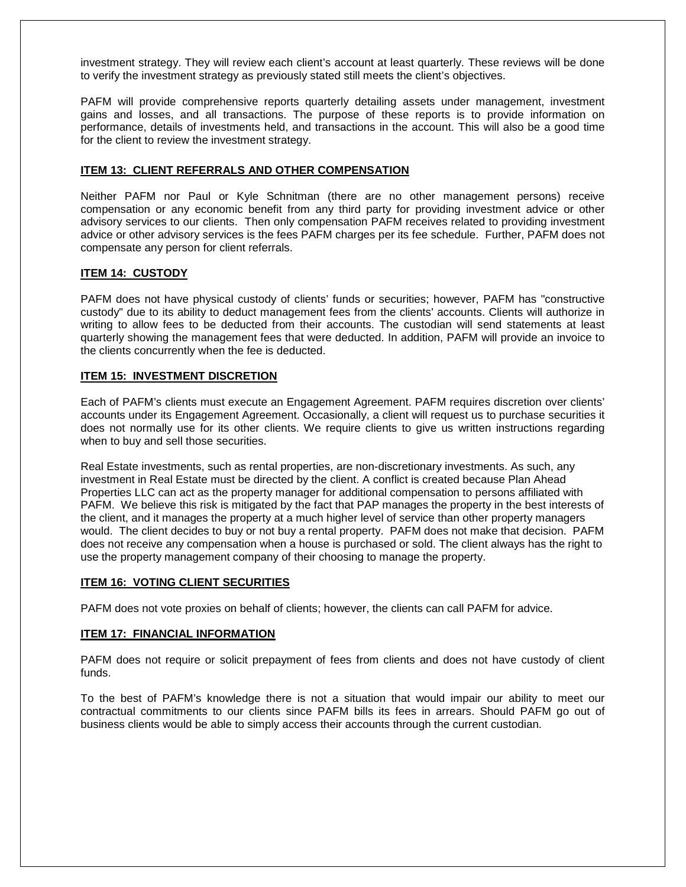investment strategy. They will review each client's account at least quarterly. These reviews will be done to verify the investment strategy as previously stated still meets the client's objectives.

PAFM will provide comprehensive reports quarterly detailing assets under management, investment gains and losses, and all transactions. The purpose of these reports is to provide information on performance, details of investments held, and transactions in the account. This will also be a good time for the client to review the investment strategy.

## **ITEM 13: CLIENT REFERRALS AND OTHER COMPENSATION**

Neither PAFM nor Paul or Kyle Schnitman (there are no other management persons) receive compensation or any economic benefit from any third party for providing investment advice or other advisory services to our clients. Then only compensation PAFM receives related to providing investment advice or other advisory services is the fees PAFM charges per its fee schedule. Further, PAFM does not compensate any person for client referrals.

# **ITEM 14: CUSTODY**

PAFM does not have physical custody of clients' funds or securities; however, PAFM has "constructive custody" due to its ability to deduct management fees from the clients' accounts. Clients will authorize in writing to allow fees to be deducted from their accounts. The custodian will send statements at least quarterly showing the management fees that were deducted. In addition, PAFM will provide an invoice to the clients concurrently when the fee is deducted.

## **ITEM 15: INVESTMENT DISCRETION**

Each of PAFM's clients must execute an Engagement Agreement. PAFM requires discretion over clients' accounts under its Engagement Agreement. Occasionally, a client will request us to purchase securities it does not normally use for its other clients. We require clients to give us written instructions regarding when to buy and sell those securities.

Real Estate investments, such as rental properties, are non-discretionary investments. As such, any investment in Real Estate must be directed by the client. A conflict is created because Plan Ahead Properties LLC can act as the property manager for additional compensation to persons affiliated with PAFM. We believe this risk is mitigated by the fact that PAP manages the property in the best interests of the client, and it manages the property at a much higher level of service than other property managers would. The client decides to buy or not buy a rental property. PAFM does not make that decision. PAFM does not receive any compensation when a house is purchased or sold. The client always has the right to use the property management company of their choosing to manage the property.

## **ITEM 16: VOTING CLIENT SECURITIES**

PAFM does not vote proxies on behalf of clients; however, the clients can call PAFM for advice.

## **ITEM 17: FINANCIAL INFORMATION**

PAFM does not require or solicit prepayment of fees from clients and does not have custody of client funds.

To the best of PAFM's knowledge there is not a situation that would impair our ability to meet our contractual commitments to our clients since PAFM bills its fees in arrears. Should PAFM go out of business clients would be able to simply access their accounts through the current custodian.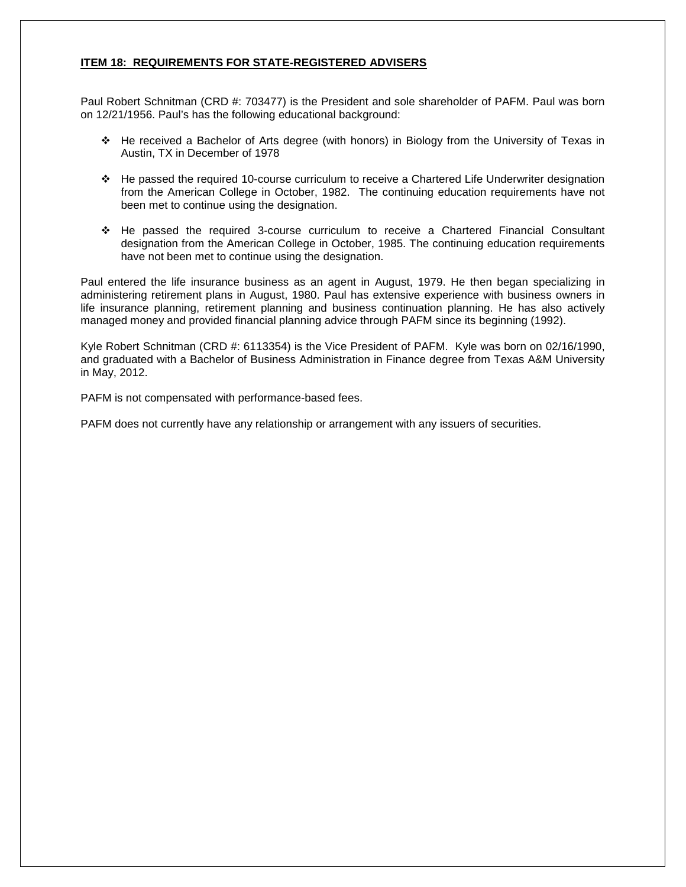# **ITEM 18: REQUIREMENTS FOR STATE-REGISTERED ADVISERS**

Paul Robert Schnitman (CRD #: 703477) is the President and sole shareholder of PAFM. Paul was born on 12/21/1956. Paul's has the following educational background:

- He received a Bachelor of Arts degree (with honors) in Biology from the University of Texas in Austin, TX in December of 1978
- He passed the required 10-course curriculum to receive a Chartered Life Underwriter designation from the American College in October, 1982. The continuing education requirements have not been met to continue using the designation.
- He passed the required 3-course curriculum to receive a Chartered Financial Consultant designation from the American College in October, 1985. The continuing education requirements have not been met to continue using the designation.

Paul entered the life insurance business as an agent in August, 1979. He then began specializing in administering retirement plans in August, 1980. Paul has extensive experience with business owners in life insurance planning, retirement planning and business continuation planning. He has also actively managed money and provided financial planning advice through PAFM since its beginning (1992).

Kyle Robert Schnitman (CRD #: 6113354) is the Vice President of PAFM. Kyle was born on 02/16/1990, and graduated with a Bachelor of Business Administration in Finance degree from Texas A&M University in May, 2012.

PAFM is not compensated with performance-based fees.

PAFM does not currently have any relationship or arrangement with any issuers of securities.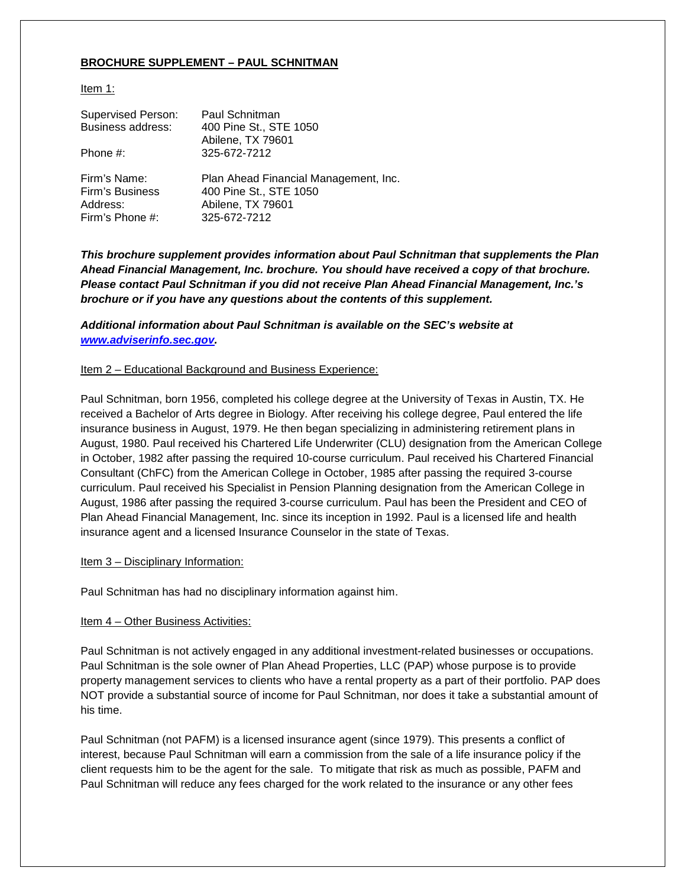# **BROCHURE SUPPLEMENT – PAUL SCHNITMAN**

## Item 1:

| <b>Supervised Person:</b><br><b>Business address:</b><br>Phone #: | Paul Schnitman<br>400 Pine St., STE 1050<br>Abilene, TX 79601<br>325-672-7212 |
|-------------------------------------------------------------------|-------------------------------------------------------------------------------|
| Firm's Name:                                                      | Plan Ahead Financial Management, Inc.                                         |
| Firm's Business                                                   | 400 Pine St., STE 1050                                                        |
| Address:                                                          | Abilene, TX 79601                                                             |
| Firm's Phone #:                                                   | 325-672-7212                                                                  |

*This brochure supplement provides information about Paul Schnitman that supplements the Plan Ahead Financial Management, Inc. brochure. You should have received a copy of that brochure. Please contact Paul Schnitman if you did not receive Plan Ahead Financial Management, Inc.'s brochure or if you have any questions about the contents of this supplement.*

*Additional information about Paul Schnitman is available on the SEC's website at [www.adviserinfo.sec.gov.](http://www.adviserinfo.sec.gov/)*

#### Item 2 – Educational Background and Business Experience:

Paul Schnitman, born 1956, completed his college degree at the University of Texas in Austin, TX. He received a Bachelor of Arts degree in Biology. After receiving his college degree, Paul entered the life insurance business in August, 1979. He then began specializing in administering retirement plans in August, 1980. Paul received his Chartered Life Underwriter (CLU) designation from the American College in October, 1982 after passing the required 10-course curriculum. Paul received his Chartered Financial Consultant (ChFC) from the American College in October, 1985 after passing the required 3-course curriculum. Paul received his Specialist in Pension Planning designation from the American College in August, 1986 after passing the required 3-course curriculum. Paul has been the President and CEO of Plan Ahead Financial Management, Inc. since its inception in 1992. Paul is a licensed life and health insurance agent and a licensed Insurance Counselor in the state of Texas.

#### Item 3 – Disciplinary Information:

Paul Schnitman has had no disciplinary information against him.

## Item 4 – Other Business Activities:

Paul Schnitman is not actively engaged in any additional investment-related businesses or occupations. Paul Schnitman is the sole owner of Plan Ahead Properties, LLC (PAP) whose purpose is to provide property management services to clients who have a rental property as a part of their portfolio. PAP does NOT provide a substantial source of income for Paul Schnitman, nor does it take a substantial amount of his time.

Paul Schnitman (not PAFM) is a licensed insurance agent (since 1979). This presents a conflict of interest, because Paul Schnitman will earn a commission from the sale of a life insurance policy if the client requests him to be the agent for the sale. To mitigate that risk as much as possible, PAFM and Paul Schnitman will reduce any fees charged for the work related to the insurance or any other fees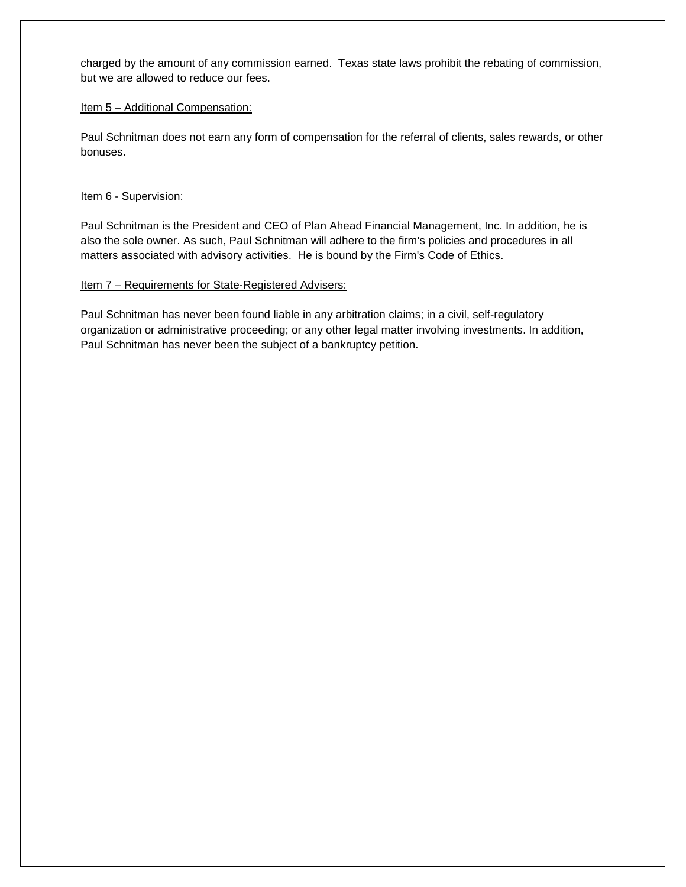charged by the amount of any commission earned. Texas state laws prohibit the rebating of commission, but we are allowed to reduce our fees.

## Item 5 - Additional Compensation:

Paul Schnitman does not earn any form of compensation for the referral of clients, sales rewards, or other bonuses.

# Item 6 - Supervision:

Paul Schnitman is the President and CEO of Plan Ahead Financial Management, Inc. In addition, he is also the sole owner. As such, Paul Schnitman will adhere to the firm's policies and procedures in all matters associated with advisory activities. He is bound by the Firm's Code of Ethics.

# Item 7 – Requirements for State-Registered Advisers:

Paul Schnitman has never been found liable in any arbitration claims; in a civil, self-regulatory organization or administrative proceeding; or any other legal matter involving investments. In addition, Paul Schnitman has never been the subject of a bankruptcy petition.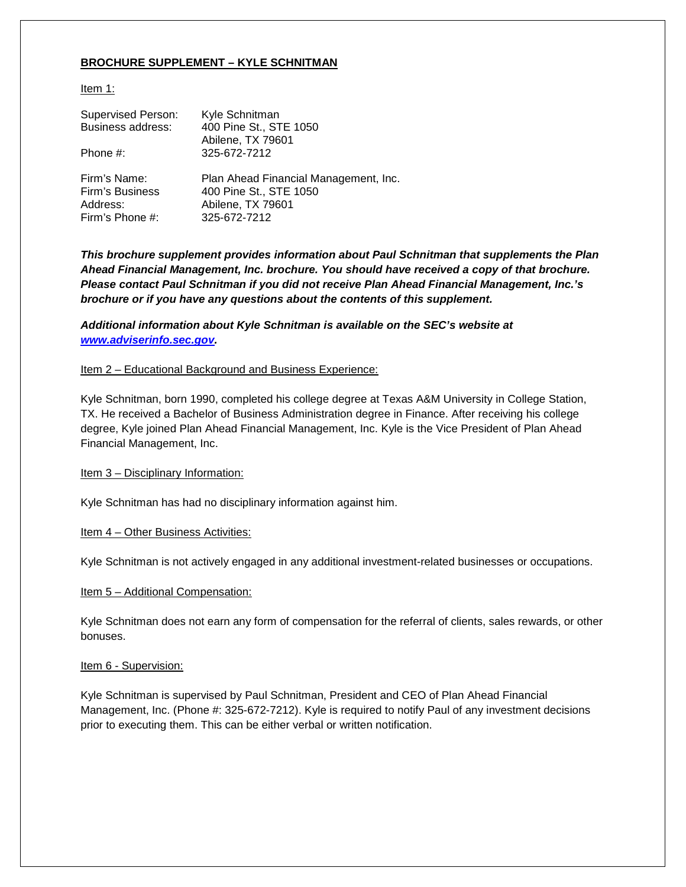# **BROCHURE SUPPLEMENT – KYLE SCHNITMAN**

Item 1:

| <b>Supervised Person:</b><br>Business address:<br>Phone #: | Kyle Schnitman<br>400 Pine St., STE 1050<br>Abilene, TX 79601<br>325-672-7212 |
|------------------------------------------------------------|-------------------------------------------------------------------------------|
| Firm's Name:                                               | Plan Ahead Financial Management, Inc.                                         |
| Firm's Business                                            | 400 Pine St., STE 1050                                                        |
| Address:                                                   | Abilene, TX 79601                                                             |
| Firm's Phone #:                                            | 325-672-7212                                                                  |

*This brochure supplement provides information about Paul Schnitman that supplements the Plan Ahead Financial Management, Inc. brochure. You should have received a copy of that brochure. Please contact Paul Schnitman if you did not receive Plan Ahead Financial Management, Inc.'s brochure or if you have any questions about the contents of this supplement.*

*Additional information about Kyle Schnitman is available on the SEC's website at [www.adviserinfo.sec.gov.](http://www.adviserinfo.sec.gov/)*

#### Item 2 – Educational Background and Business Experience:

Kyle Schnitman, born 1990, completed his college degree at Texas A&M University in College Station, TX. He received a Bachelor of Business Administration degree in Finance. After receiving his college degree, Kyle joined Plan Ahead Financial Management, Inc. Kyle is the Vice President of Plan Ahead Financial Management, Inc.

#### Item 3 – Disciplinary Information:

Kyle Schnitman has had no disciplinary information against him.

## Item 4 – Other Business Activities:

Kyle Schnitman is not actively engaged in any additional investment-related businesses or occupations.

#### Item 5 - Additional Compensation:

Kyle Schnitman does not earn any form of compensation for the referral of clients, sales rewards, or other bonuses.

#### Item 6 - Supervision:

Kyle Schnitman is supervised by Paul Schnitman, President and CEO of Plan Ahead Financial Management, Inc. (Phone #: 325-672-7212). Kyle is required to notify Paul of any investment decisions prior to executing them. This can be either verbal or written notification.